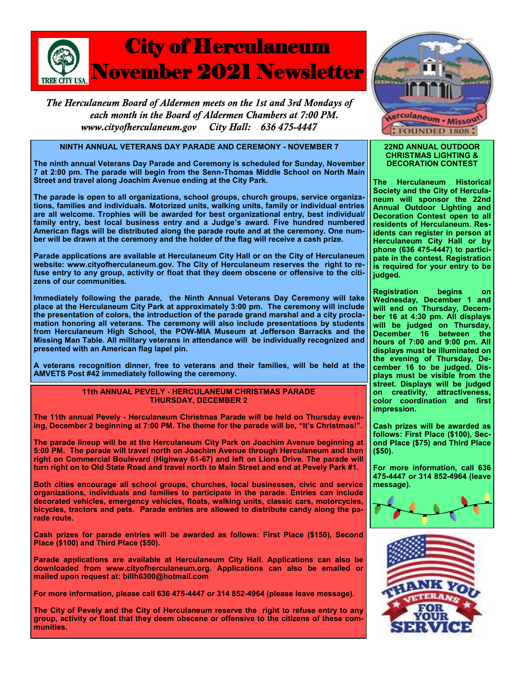

The Herculaneum Board of Aldermen meets on the 1st and 3rd Mondays of each month in the Board of Aldermen Chambers at 7:00 PM. www.cityofherculaneum.gov City Hall: 636 475-4447

## **NINTH ANNUAL VETERANS DAY PARADE AND CEREMONY - NOVEMBER 7**

**The ninth annual Veterans Day Parade and Ceremony is scheduled for Sunday, November 7 at 2:00 pm. The parade will begin from the Senn-Thomas Middle School on North Main Street and travel along Joachim Avenue ending at the City Park.**

**The parade is open to all organizations, school groups, church groups, service organizations, families and individuals. Motorized units, walking units, family or individual entries are all welcome. Trophies will be awarded for best organizational entry, best individual/ family entry, best local business entry and a Judge's award. Five hundred numbered American flags will be distributed along the parade route and at the ceremony. One number will be drawn at the ceremony and the holder of the flag will receive a cash prize.**

**Parade applications are available at Herculaneum City Hall or on the City of Herculaneum website: www.cityofherculaneum.gov. The City of Herculaneum reserves the right to refuse entry to any group, activity or float that they deem obscene or offensive to the citizens of our communities.**

**Immediately following the parade, the Ninth Annual Veterans Day Ceremony will take place at the Herculaneum City Park at approximately 3:00 pm. The ceremony will include the presentation of colors, the introduction of the parade grand marshal and a city proclamation honoring all veterans. The ceremony will also include presentations by students from Herculaneum High School, the POW-MIA Museum at Jefferson Barracks and the Missing Man Table. All military veterans in attendance will be individually recognized and presented with an American flag lapel pin.** 

**A veterans recognition dinner, free to veterans and their families, will be held at the AMVETS Post #42 immediately following the ceremony.**

## **11th ANNUAL PEVELY - HERCULANEUM CHRISTMAS PARADE THURSDAY, DECEMBER 2**

**The 11th annual Pevely - Herculaneum Christmas Parade will be held on Thursday evening, December 2 beginning at 7:00 PM. The theme for the parade will be, "It's Christmas!".**

**The parade lineup will be at the Herculaneum City Park on Joachim Avenue beginning at 5:00 PM. The parade will travel north on Joachim Avenue through Herculaneum and then right on Commercial Boulevard (Highway 61-67) and left on Lions Drive. The parade will turn right on to Old State Road and travel north to Main Street and end at Pevely Park #1.** 

**Both cities encourage all school groups, churches, local businesses, civic and service organizations, individuals and families to participate in the parade. Entries can include decorated vehicles, emergency vehicles, floats, walking units, classic cars, motorcycles, bicycles, tractors and pets. Parade entries are allowed to distribute candy along the parade route.**

**Cash prizes for parade entries will be awarded as follows: First Place (\$150), Second Place (\$100) and Third Place (\$50).**

**Parade applications are available at Herculaneum City Hall. Applications can also be downloaded from www.cityofherculaneum.org. Applications can also be emailed or mailed upon request at: billh6300@hotmail.com**

**For more information, please call 636 475-4447 or 314 852-4964 (please leave message).**

**The City of Pevely and the City of Herculaneum reserve the right to refuse entry to any group, activity or float that they deem obscene or offensive to the citizens of these communities.**



## **22ND ANNUAL OUTDOOR CHRISTMAS LIGHTING & DECORATION CONTEST**

**The Herculaneum Historical Society and the City of Herculaneum will sponsor the 22nd Annual Outdoor Lighting and Decoration Contest open to all residents of Herculaneum. Residents can register in person at Herculaneum City Hall or by phone (636 475-4447) to participate in the contest. Registration is required for your entry to be judged.**

**Registration begins on Wednesday, December 1 and will end on Thursday, December 16 at 4:30 pm. All displays will be judged on Thursday, December 16 between the hours of 7:00 and 9:00 pm. All displays must be illuminated on the evening of Thursday, December 16 to be judged. Displays must be visible from the street. Displays will be judged on creativity, attractiveness, color coordination and first impression.**

**Cash prizes will be awarded as follows: First Place (\$100), Second Place (\$75) and Third Place (\$50).**

**For more information, call 636 475-4447 or 314 852-4964 (leave message).**